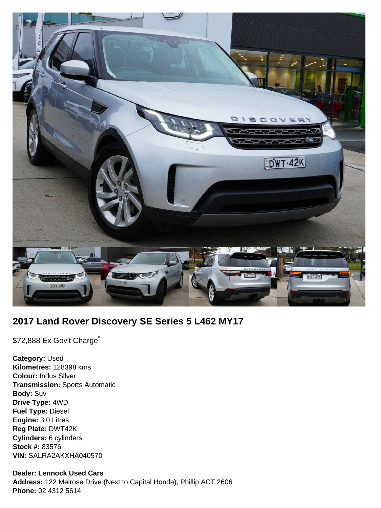

# **2017 Land Rover Discovery SE Series 5 L462 MY17**

\$72,888 Ex Gov't Charge<sup>\*</sup>

**Category:** Used **Kilometres:** 128398 kms **Colour:** Indus Silver **Transmission:** Sports Automatic **Body:** Suv **Drive Type:** 4WD **Fuel Type:** Diesel **Engine:** 3.0 Litres **Reg Plate:** DWT42K **Cylinders:** 6 cylinders **Stock #:** 83576 **VIN:** SALRA2AKXHA040570

#### **Dealer: Lennock Used Cars**

**Address:** 122 Melrose Drive (Next to Capital Honda), Phillip ACT 2606 **Phone:** 02 4312 5614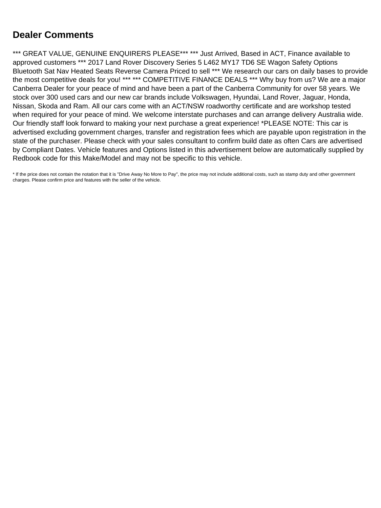# **Dealer Comments**

\*\*\* GREAT VALUE, GENUINE ENQUIRERS PLEASE\*\*\* \*\*\* Just Arrived, Based in ACT, Finance available to approved customers \*\*\* 2017 Land Rover Discovery Series 5 L462 MY17 TD6 SE Wagon Safety Options Bluetooth Sat Nav Heated Seats Reverse Camera Priced to sell \*\*\* We research our cars on daily bases to provide the most competitive deals for you! \*\*\* \*\*\* COMPETITIVE FINANCE DEALS \*\*\* Why buy from us? We are a major Canberra Dealer for your peace of mind and have been a part of the Canberra Community for over 58 years. We stock over 300 used cars and our new car brands include Volkswagen, Hyundai, Land Rover, Jaguar, Honda, Nissan, Skoda and Ram. All our cars come with an ACT/NSW roadworthy certificate and are workshop tested when required for your peace of mind. We welcome interstate purchases and can arrange delivery Australia wide. Our friendly staff look forward to making your next purchase a great experience! \*PLEASE NOTE: This car is advertised excluding government charges, transfer and registration fees which are payable upon registration in the state of the purchaser. Please check with your sales consultant to confirm build date as often Cars are advertised by Compliant Dates. Vehicle features and Options listed in this advertisement below are automatically supplied by Redbook code for this Make/Model and may not be specific to this vehicle.

\* If the price does not contain the notation that it is "Drive Away No More to Pay", the price may not include additional costs, such as stamp duty and other government charges. Please confirm price and features with the seller of the vehicle.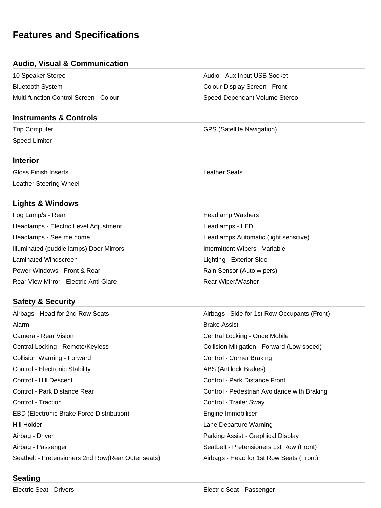# **Features and Specifications**

## **Audio, Visual & Communication**

10 Speaker Stereo **Audio - Audio - Aux Input USB Socket** Bluetooth System Colour Display Screen - Front Multi-function Control Screen - Colour Supervention Speed Dependant Volume Stereo

#### **Instruments & Controls**

Speed Limiter

#### **Interior**

Gloss Finish Inserts Leather Seats Leather Steering Wheel

## **Lights & Windows**

Fog Lamp/s - Rear New York 1999 and the United States of Headlamp Washers Headlamps - Electric Level Adjustment **Headlamps - LED** Headlamps - See me home **Headlamps Automatic (light sensitive)** Headlamps Automatic (light sensitive) Illuminated (puddle lamps) Door Mirrors **Intermittent Wipers** - Variable Laminated Windscreen **Lighting - Exterior Side** Lighting - Exterior Side Power Windows - Front & Rear **Rain Sensor (Auto wipers)** Rear View Mirror - Electric Anti Glare **Rear Wiper/Washer** Rear Wiper/Washer

# **Safety & Security**

Airbags - Head for 2nd Row Seats Airbags - Side for 1st Row Occupants (Front) Alarm **Brake Assist** Camera - Rear Vision Central Locking - Once Mobile Central Locking - Remote/Keyless Collision Mitigation - Forward (Low speed) Collision Warning - Forward **Collision Warning - Forward Collision Corner Braking** Control - Electronic Stability **ABS** (Antilock Brakes) Control - Hill Descent Control - Park Distance Front Control - Park Distance Rear Control - Pedestrian Avoidance with Braking Control - Traction Control - Trailer Sway EBD (Electronic Brake Force Distribution) and Engine Immobiliser Hill Holder Lane Departure Warning Airbag - Driver Parking Assist - Graphical Display Airbag - Passenger Seatbelt - Pretensioners 1st Row (Front) Seatbelt - Pretensioners 2nd Row(Rear Outer seats) Airbags - Head for 1st Row Seats (Front)

Trip Computer GPS (Satellite Navigation)

# **Seating**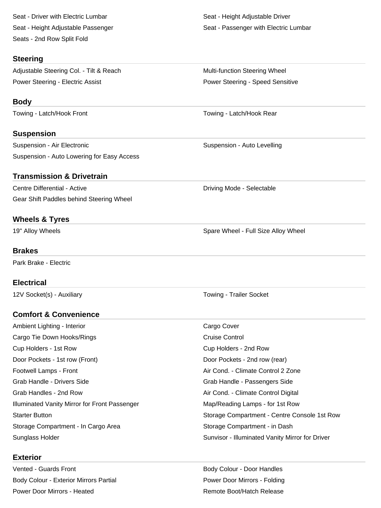Seat - Driver with Electric Lumbar Seat - Height Adjustable Driver Seats - 2nd Row Split Fold

#### **Steering**

Adjustable Steering Col. - Tilt & Reach Multi-function Steering Wheel Power Steering - Electric Assist **Power Steering - Speed Sensitive** Power Steering - Speed Sensitive

### **Body**

Towing - Latch/Hook Front Towing - Latch/Hook Rear

## **Suspension**

Suspension - Air Electronic **Suspension - Auto Levelling** Suspension - Auto Levelling Suspension - Auto Lowering for Easy Access

## **Transmission & Drivetrain**

Centre Differential - Active **Driving Mode - Selectable** Driving Mode - Selectable Gear Shift Paddles behind Steering Wheel

## **Wheels & Tyres**

#### **Brakes**

Park Brake - Electric

## **Electrical**

12V Socket(s) - Auxiliary The Control of Towing - Trailer Socket

## **Comfort & Convenience**

| Ambient Lighting - Interior                   | Cargo Cover                                     |
|-----------------------------------------------|-------------------------------------------------|
| Cargo Tie Down Hooks/Rings                    | <b>Cruise Control</b>                           |
| Cup Holders - 1st Row                         | Cup Holders - 2nd Row                           |
| Door Pockets - 1st row (Front)                | Door Pockets - 2nd row (rear)                   |
| Footwell Lamps - Front                        | Air Cond. - Climate Control 2 Zone              |
| Grab Handle - Drivers Side                    | Grab Handle - Passengers Side                   |
| Grab Handles - 2nd Row                        | Air Cond. - Climate Control Digital             |
| Illuminated Vanity Mirror for Front Passenger | Map/Reading Lamps - for 1st Row                 |
| <b>Starter Button</b>                         | Storage Compartment - Centre Console 1st Row    |
| Storage Compartment - In Cargo Area           | Storage Compartment - in Dash                   |
| Sunglass Holder                               | Sunvisor - Illuminated Vanity Mirror for Driver |

#### **Exterior**

Vented - Guards Front **Body Colour - Door Handles** Body Colour - Exterior Mirrors Partial **Power Door Mirrors - Folding** Power Door Mirrors - Folding Power Door Mirrors - Heated **Remote Boot** Remote Boot/Hatch Release

Seat - Height Adjustable Passenger Seat - Passenger with Electric Lumbar

19" Alloy Wheels **Spare Wheel - Full Size Alloy Wheel** - Spare Wheel - Full Size Alloy Wheel